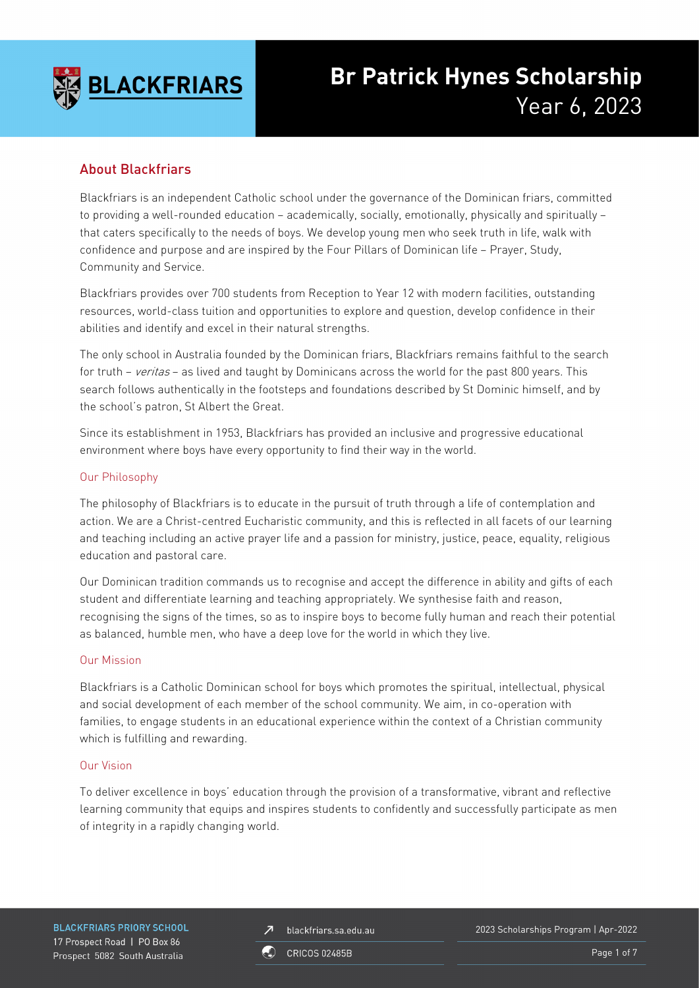

# **Br Patrick Hynes Scholarship** Year 6, 2023

# About Blackfriars

Blackfriars is an independent Catholic school under the governance of the Dominican friars, committed to providing a well-rounded education – academically, socially, emotionally, physically and spiritually – that caters specifically to the needs of boys. We develop young men who seek truth in life, walk with confidence and purpose and are inspired by the Four Pillars of Dominican life – Prayer, Study, Community and Service.

Blackfriars provides over 700 students from Reception to Year 12 with modern facilities, outstanding resources, world-class tuition and opportunities to explore and question, develop confidence in their abilities and identify and excel in their natural strengths.

The only school in Australia founded by the Dominican friars, Blackfriars remains faithful to the search for truth – veritas – as lived and taught by Dominicans across the world for the past 800 years. This search follows authentically in the footsteps and foundations described by St Dominic himself, and by the school's patron, St Albert the Great.

Since its establishment in 1953, Blackfriars has provided an inclusive and progressive educational environment where boys have every opportunity to find their way in the world.

### Our Philosophy

The philosophy of Blackfriars is to educate in the pursuit of truth through a life of contemplation and action. We are a Christ-centred Eucharistic community, and this is reflected in all facets of our learning and teaching including an active prayer life and a passion for ministry, justice, peace, equality, religious education and pastoral care.

Our Dominican tradition commands us to recognise and accept the difference in ability and gifts of each student and differentiate learning and teaching appropriately. We synthesise faith and reason, recognising the signs of the times, so as to inspire boys to become fully human and reach their potential as balanced, humble men, who have a deep love for the world in which they live.

### Our Mission

Blackfriars is a Catholic Dominican school for boys which promotes the spiritual, intellectual, physical and social development of each member of the school community. We aim, in co-operation with families, to engage students in an educational experience within the context of a Christian community which is fulfilling and rewarding.

### Our Vision

To deliver excellence in boys' education through the provision of a transformative, vibrant and reflective learning community that equips and inspires students to confidently and successfully participate as men of integrity in a rapidly changing world.

**BLACKFRIARS PRIORY SCHOOL** 17 Prospect Road | PO Box 86 Prospect 5082 South Australia

blackfriars.sa.edu.au  $\overline{\mathbf{z}}$ 

2023 Scholarships Program | Apr-2022

**CRICOS 02485B** 

Page 1 of 7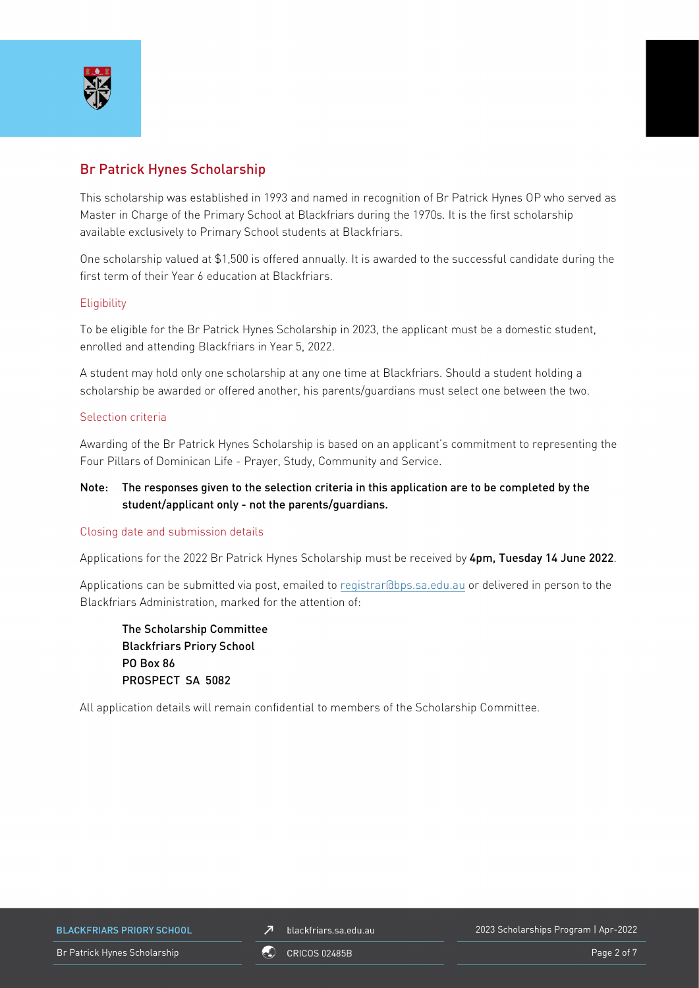

## Br Patrick Hynes Scholarship

This scholarship was established in 1993 and named in recognition of Br Patrick Hynes OP who served as Master in Charge of the Primary School at Blackfriars during the 1970s. It is the first scholarship available exclusively to Primary School students at Blackfriars.

One scholarship valued at \$1,500 is offered annually. It is awarded to the successful candidate during the first term of their Year 6 education at Blackfriars.

### **Eligibility**

To be eligible for the Br Patrick Hynes Scholarship in 2023, the applicant must be a domestic student, enrolled and attending Blackfriars in Year 5, 2022.

A student may hold only one scholarship at any one time at Blackfriars. Should a student holding a scholarship be awarded or offered another, his parents/guardians must select one between the two.

#### Selection criteria

Awarding of the Br Patrick Hynes Scholarship is based on an applicant's commitment to representing the Four Pillars of Dominican Life - Prayer, Study, Community and Service.

### Note: The responses given to the selection criteria in this application are to be completed by the student/applicant only - not the parents/guardians.

### Closing date and submission details

Applications for the 2022 Br Patrick Hynes Scholarship must be received by 4pm, Tuesday 14 June 2022.

Applications can be submitted via post, emailed to [registrar@bps.sa.edu.au](mailto:registrar@bps.sa.edu.au) or delivered in person to the Blackfriars Administration, marked for the attention of:

The Scholarship Committee Blackfriars Priory School PO Box 86 PROSPECT SA 5082

All application details will remain confidential to members of the Scholarship Committee.

**BLACKFRIARS PRIORY SCHOOL** 

blackfriars.sa.edu.au  $\overline{\mathbf{z}}$ 

2023 Scholarships Program | Apr-2022

Br Patrick Hynes Scholarship **Page 2 of 7** CRICOS 02485B **Page 2 of 7** Page 2 of 7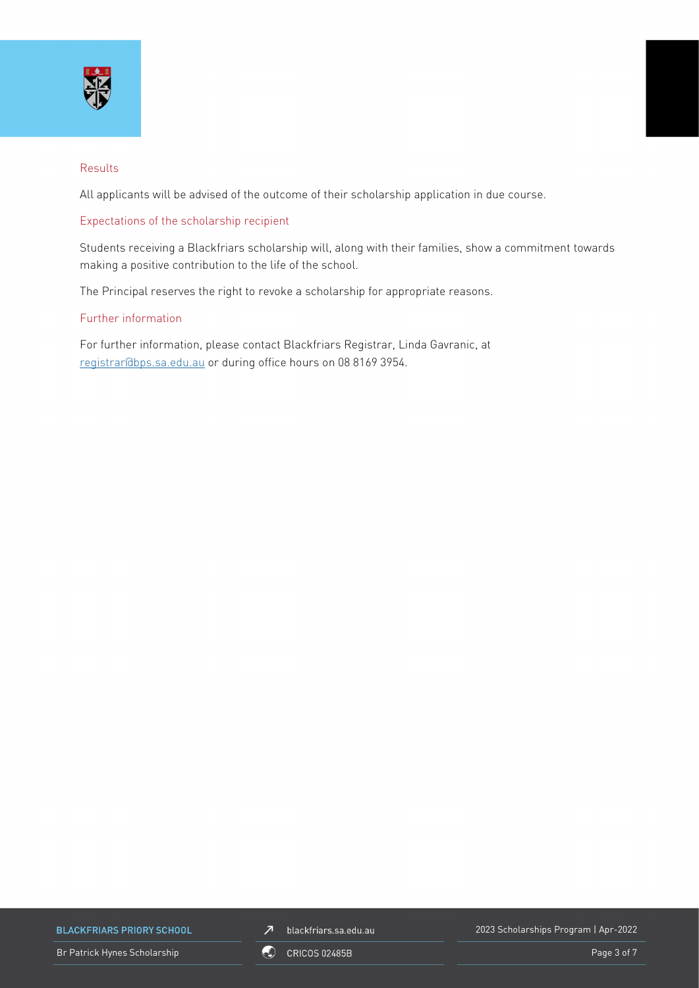

### Results

All applicants will be advised of the outcome of their scholarship application in due course.

### Expectations of the scholarship recipient

Students receiving a Blackfriars scholarship will, along with their families, show a commitment towards making a positive contribution to the life of the school.

The Principal reserves the right to revoke a scholarship for appropriate reasons.

### Further information

For further information, please contact Blackfriars Registrar, Linda Gavranic, at [registrar@bps.sa.edu.au](mailto:registrar@bps.sa.edu.au) or during office hours on 08 8169 3954.

**BLACKFRIARS PRIORY SCHOOL** 

Br Patrick Hynes Scholarship **Page 3 of 7** CRICOS 02485B **Page 3 of 7** Page 3 of 7



2023 Scholarships Program | Apr-2022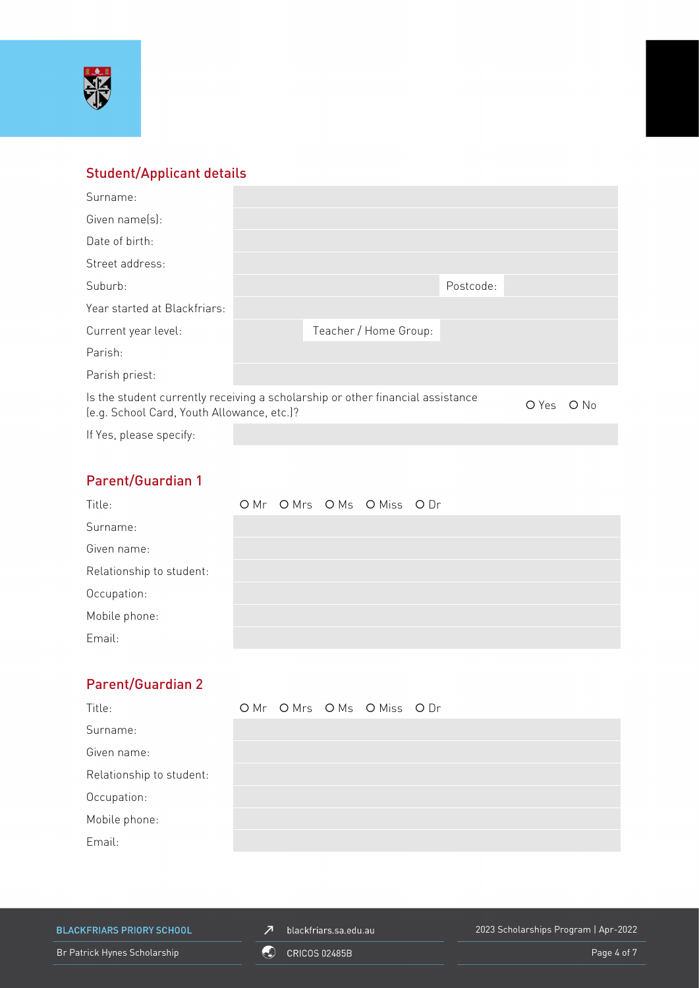

# Student/Applicant details

| Surname:                                                                                                                     |  |                       |           |  |        |
|------------------------------------------------------------------------------------------------------------------------------|--|-----------------------|-----------|--|--------|
| Given name(s):                                                                                                               |  |                       |           |  |        |
| Date of birth:                                                                                                               |  |                       |           |  |        |
| Street address:                                                                                                              |  |                       |           |  |        |
| Suburb:                                                                                                                      |  |                       | Postcode: |  |        |
| Year started at Blackfriars:                                                                                                 |  |                       |           |  |        |
| Current year level:                                                                                                          |  | Teacher / Home Group: |           |  |        |
| Parish:                                                                                                                      |  |                       |           |  |        |
| Parish priest:                                                                                                               |  |                       |           |  |        |
| Is the student currently receiving a scholarship or other financial assistance<br>(e.g. School Card, Youth Allowance, etc.)? |  |                       |           |  | $O$ No |
| If Yes, please specify:                                                                                                      |  |                       |           |  |        |

# Parent/Guardian 1

| Title:                   |  | OMr OMrs OMs OMiss ODr |  |
|--------------------------|--|------------------------|--|
| Surname:                 |  |                        |  |
| Given name:              |  |                        |  |
| Relationship to student: |  |                        |  |
| Occupation:              |  |                        |  |
| Mobile phone:            |  |                        |  |
| Email:                   |  |                        |  |

# Parent/Guardian 2

| Title:                   |  | OMr OMrs OMs OMiss ODr |  |
|--------------------------|--|------------------------|--|
| Surname:                 |  |                        |  |
| Given name:              |  |                        |  |
| Relationship to student: |  |                        |  |
| Occupation:              |  |                        |  |
| Mobile phone:            |  |                        |  |
| Email:                   |  |                        |  |

**BLACKFRIARS PRIORY SCHOOL** 

 $\n *J*\n blackfriars.sa.edu.au\n$ 

2023 Scholarships Program | Apr-2022

Br Patrick Hynes Scholarship **COU** CRICOS 02485B **Page 4 of 7** Page 4 of 7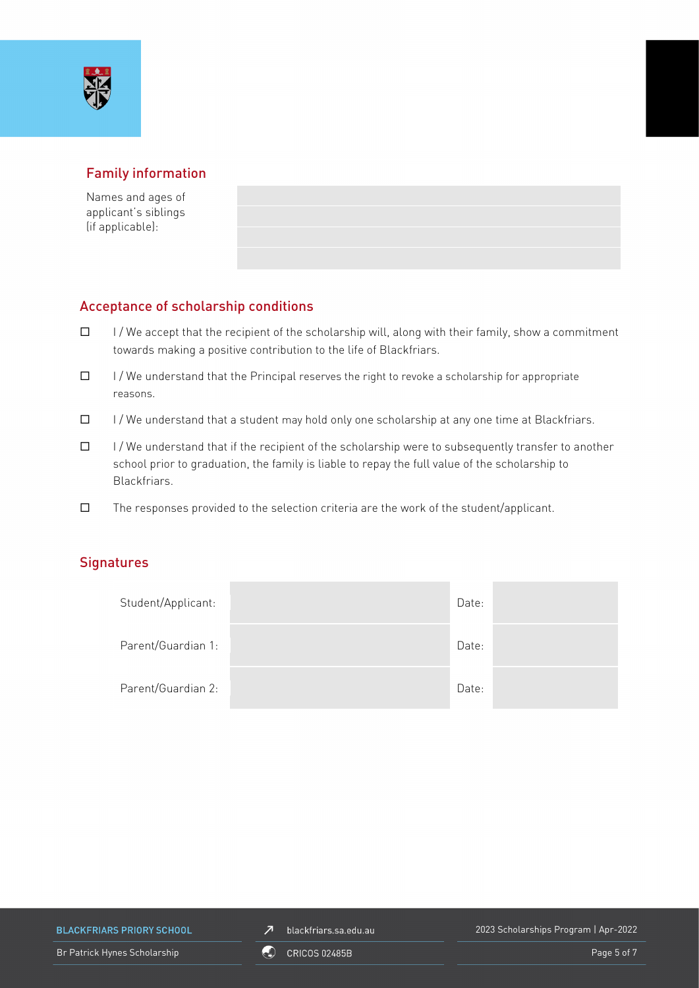

## Family information

Names and ages of applicant's siblings (if applicable):

### Acceptance of scholarship conditions

- $\Box$  I/We accept that the recipient of the scholarship will, along with their family, show a commitment towards making a positive contribution to the life of Blackfriars.
- $\Box$  I / We understand that the Principal reserves the right to revoke a scholarship for appropriate reasons.
- $\Box$  I/We understand that a student may hold only one scholarship at any one time at Blackfriars.
- $\Box$  I/We understand that if the recipient of the scholarship were to subsequently transfer to another school prior to graduation, the family is liable to repay the full value of the scholarship to Blackfriars.
- $\square$  The responses provided to the selection criteria are the work of the student/applicant.

### **Signatures**

| Student/Applicant: | Date: |  |
|--------------------|-------|--|
| Parent/Guardian 1: | Date: |  |
| Parent/Guardian 2: | Date: |  |

**BLACKFRIARS PRIORY SCHOOL** 

 $\n *J*\n blackfriars.sa.edu.au\n$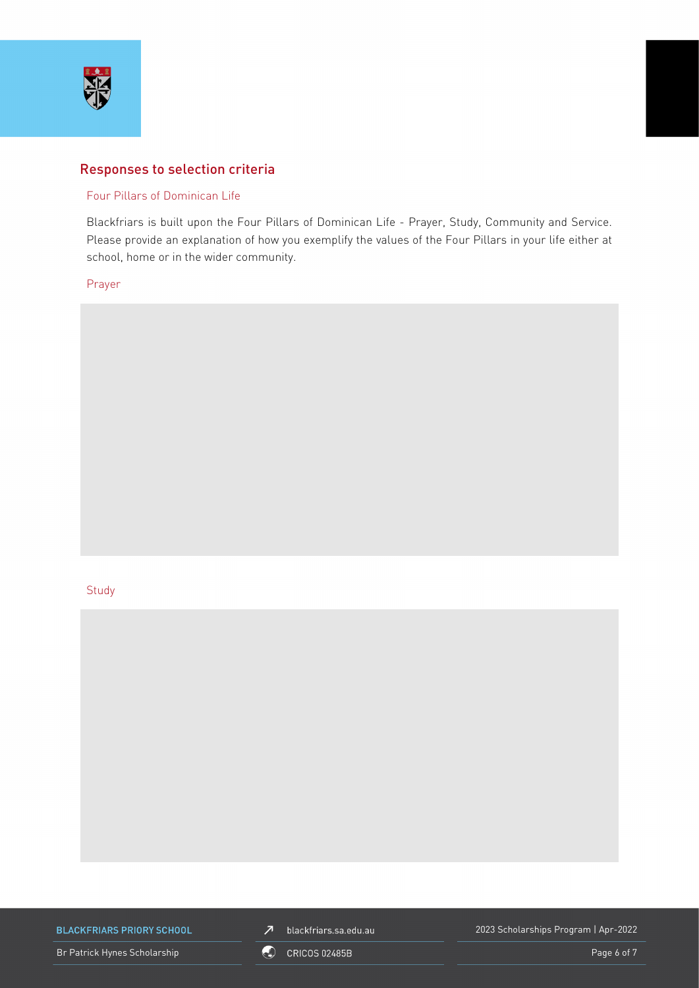

### Responses to selection criteria

### Four Pillars of Dominican Life

Blackfriars is built upon the Four Pillars of Dominican Life - Prayer, Study, Community and Service. Please provide an explanation of how you exemplify the values of the Four Pillars in your life either at school, home or in the wider community.

### Prayer

#### **Study**



**BLACKFRIARS PRIORY SCHOOL** 

 $\n *J*\n blackfriars.sa.edu.au\n$ 

2023 Scholarships Program | Apr-2022

Br Patrick Hynes Scholarship **Page 6 of 7** CRICOS 02485B